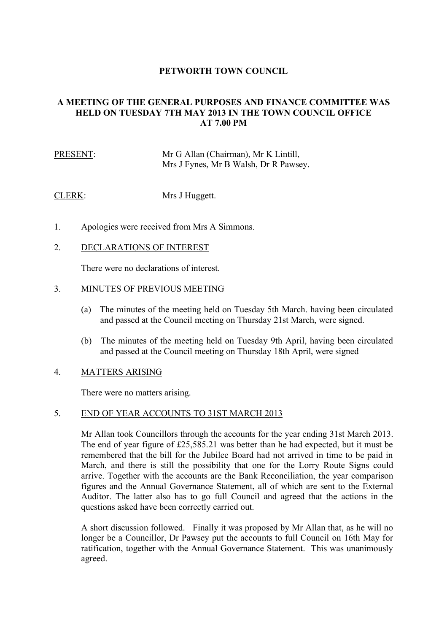## **PETWORTH TOWN COUNCIL**

# **A MEETING OF THE GENERAL PURPOSES AND FINANCE COMMITTEE WAS HELD ON TUESDAY 7TH MAY 2013 IN THE TOWN COUNCIL OFFICE AT 7.00 PM**

PRESENT: Mr G Allan (Chairman), Mr K Lintill, Mrs J Fynes, Mr B Walsh, Dr R Pawsey.

CLERK: Mrs J Huggett.

- 1. Apologies were received from Mrs A Simmons.
- 2. DECLARATIONS OF INTEREST

There were no declarations of interest.

### 3. MINUTES OF PREVIOUS MEETING

- (a) The minutes of the meeting held on Tuesday 5th March. having been circulated and passed at the Council meeting on Thursday 21st March, were signed.
- (b) The minutes of the meeting held on Tuesday 9th April, having been circulated and passed at the Council meeting on Thursday 18th April, were signed

### 4. MATTERS ARISING

There were no matters arising.

## 5. END OF YEAR ACCOUNTS TO 31ST MARCH 2013

Mr Allan took Councillors through the accounts for the year ending 31st March 2013. The end of year figure of £25,585.21 was better than he had expected, but it must be remembered that the bill for the Jubilee Board had not arrived in time to be paid in March, and there is still the possibility that one for the Lorry Route Signs could arrive. Together with the accounts are the Bank Reconciliation, the year comparison figures and the Annual Governance Statement, all of which are sent to the External Auditor. The latter also has to go full Council and agreed that the actions in the questions asked have been correctly carried out.

A short discussion followed. Finally it was proposed by Mr Allan that, as he will no longer be a Councillor, Dr Pawsey put the accounts to full Council on 16th May for ratification, together with the Annual Governance Statement. This was unanimously agreed.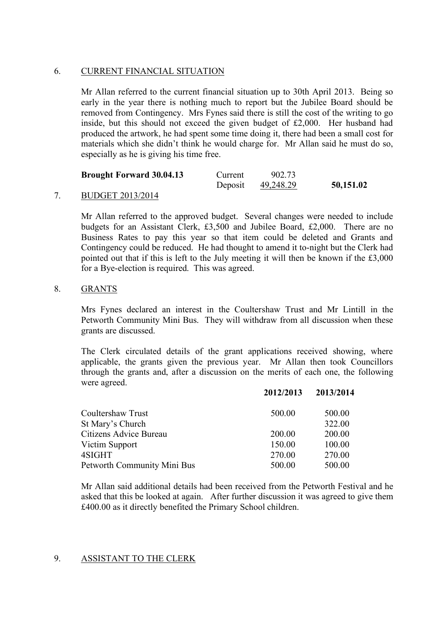### 6. CURRENT FINANCIAL SITUATION

Mr Allan referred to the current financial situation up to 30th April 2013. Being so early in the year there is nothing much to report but the Jubilee Board should be removed from Contingency. Mrs Fynes said there is still the cost of the writing to go inside, but this should not exceed the given budget of £2,000. Her husband had produced the artwork, he had spent some time doing it, there had been a small cost for materials which she didn't think he would charge for. Mr Allan said he must do so, especially as he is giving his time free.

| <b>Brought Forward 30.04.13</b> | Current | 902.73    |           |
|---------------------------------|---------|-----------|-----------|
|                                 | Deposit | 49,248.29 | 50,151.02 |

## 7. BUDGET 2013/2014

Mr Allan referred to the approved budget. Several changes were needed to include budgets for an Assistant Clerk, £3,500 and Jubilee Board, £2,000. There are no Business Rates to pay this year so that item could be deleted and Grants and Contingency could be reduced. He had thought to amend it to-night but the Clerk had pointed out that if this is left to the July meeting it will then be known if the £3,000 for a Bye-election is required. This was agreed.

### 8. GRANTS

Mrs Fynes declared an interest in the Coultershaw Trust and Mr Lintill in the Petworth Community Mini Bus. They will withdraw from all discussion when these grants are discussed.

The Clerk circulated details of the grant applications received showing, where applicable, the grants given the previous year. Mr Allan then took Councillors through the grants and, after a discussion on the merits of each one, the following were agreed.

**2012/2013 2013/2014**

| Coultershaw Trust           | 500.00 | 500.00 |
|-----------------------------|--------|--------|
| St Mary's Church            |        | 322.00 |
| Citizens Advice Bureau      | 200.00 | 200.00 |
| Victim Support              | 150.00 | 100.00 |
| 4SIGHT                      | 270.00 | 270.00 |
| Petworth Community Mini Bus | 500.00 | 500.00 |

Mr Allan said additional details had been received from the Petworth Festival and he asked that this be looked at again. After further discussion it was agreed to give them £400.00 as it directly benefited the Primary School children.

## 9. ASSISTANT TO THE CLERK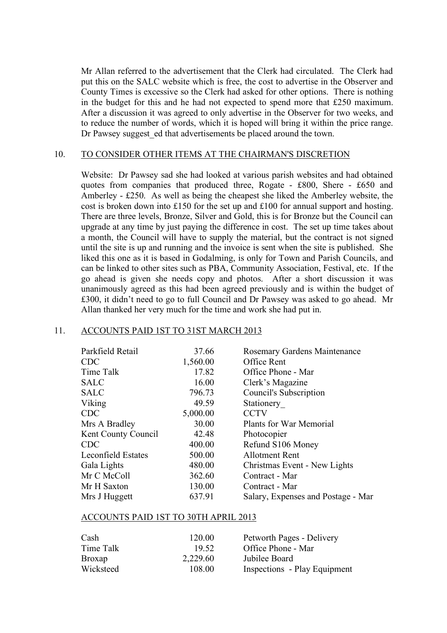Mr Allan referred to the advertisement that the Clerk had circulated. The Clerk had put this on the SALC website which is free, the cost to advertise in the Observer and County Times is excessive so the Clerk had asked for other options. There is nothing in the budget for this and he had not expected to spend more that £250 maximum. After a discussion it was agreed to only advertise in the Observer for two weeks, and to reduce the number of words, which it is hoped will bring it within the price range. Dr Pawsey suggest ed that advertisements be placed around the town.

#### 10. TO CONSIDER OTHER ITEMS AT THE CHAIRMAN'S DISCRETION

Website: Dr Pawsey sad she had looked at various parish websites and had obtained quotes from companies that produced three, Rogate - £800, Shere - £650 and Amberley - £250. As well as being the cheapest she liked the Amberley website, the cost is broken down into £150 for the set up and £100 for annual support and hosting. There are three levels, Bronze, Silver and Gold, this is for Bronze but the Council can upgrade at any time by just paying the difference in cost. The set up time takes about a month, the Council will have to supply the material, but the contract is not signed until the site is up and running and the invoice is sent when the site is published. She liked this one as it is based in Godalming, is only for Town and Parish Councils, and can be linked to other sites such as PBA, Community Association, Festival, etc. If the go ahead is given she needs copy and photos. After a short discussion it was unanimously agreed as this had been agreed previously and is within the budget of £300, it didn't need to go to full Council and Dr Pawsey was asked to go ahead. Mr Allan thanked her very much for the time and work she had put in.

### 11. ACCOUNTS PAID 1ST TO 31ST MARCH 2013

| Parkfield Retail          | 37.66    | Rosemary Gardens Maintenance       |
|---------------------------|----------|------------------------------------|
| <b>CDC</b>                | 1,560.00 | Office Rent                        |
| Time Talk                 | 17.82    | Office Phone - Mar                 |
| <b>SALC</b>               | 16.00    | Clerk's Magazine                   |
| <b>SALC</b>               | 796.73   | Council's Subscription             |
| Viking                    | 49.59    | Stationery                         |
| <b>CDC</b>                | 5,000.00 | <b>CCTV</b>                        |
| Mrs A Bradley             | 30.00    | Plants for War Memorial            |
| Kent County Council       | 42.48    | Photocopier                        |
| <b>CDC</b>                | 400.00   | Refund S106 Money                  |
| <b>Leconfield Estates</b> | 500.00   | <b>Allotment Rent</b>              |
| Gala Lights               | 480.00   | Christmas Event - New Lights       |
| Mr C McColl               | 362.60   | Contract - Mar                     |
| Mr H Saxton               | 130.00   | Contract - Mar                     |
| Mrs J Huggett             | 637.91   | Salary, Expenses and Postage - Mar |

#### ACCOUNTS PAID 1ST TO 30TH APRIL 2013

| Cash          | 120.00   | Petworth Pages - Delivery    |
|---------------|----------|------------------------------|
| Time Talk     | 19.52    | Office Phone - Mar           |
| <b>Broxap</b> | 2,229.60 | Jubilee Board                |
| Wicksteed     | 108.00   | Inspections - Play Equipment |